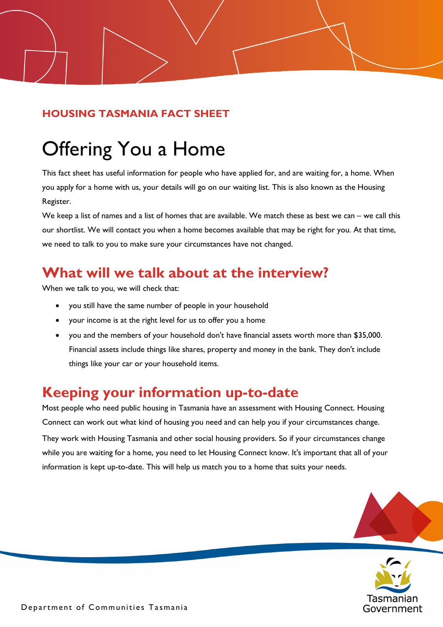#### **HOUSING TASMANIA FACT SHEET**

# Offering You a Home

This fact sheet has useful information for people who have applied for, and are waiting for, a home. When you apply for a home with us, your details will go on our waiting list. This is also known as the Housing Register.

We keep a list of names and a list of homes that are available. We match these as best we can – we call this our shortlist. We will contact you when a home becomes available that may be right for you. At that time, we need to talk to you to make sure your circumstances have not changed.

### **What will we talk about at the interview?**

When we talk to you, we will check that:

- you still have the same number of people in your household
- your income is at the right level for us to offer you a home
- you and the members of your household don't have financial assets worth more than \$35,000. Financial assets include things like shares, property and money in the bank. They don't include things like your car or your household items.

#### **Keeping your information up-to-date**

Most people who need public housing in Tasmania have an assessment with Housing Connect. Housing Connect can work out what kind of housing you need and can help you if your circumstances change. They work with Housing Tasmania and other social housing providers. So if your circumstances change while you are waiting for a home, you need to let Housing Connect know. It's important that all of your information is kept up-to-date. This will help us match you to a home that suits your needs.



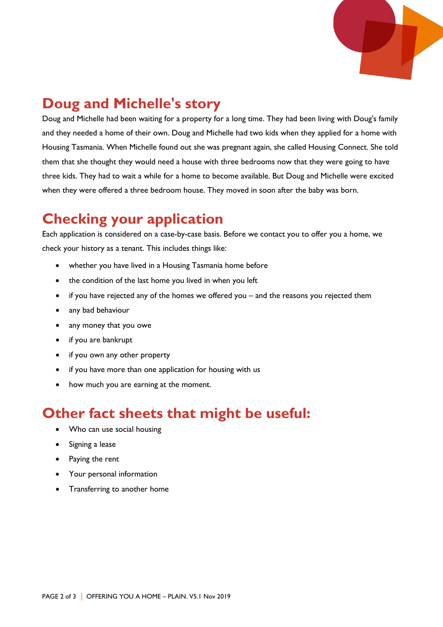

## **Doug and Michelle's story**

Doug and Michelle had been waiting for a property for a long time. They had been living with Doug's family and they needed a home of their own. Doug and Michelle had two kids when they applied for a home with Housing Tasmania. When Michelle found out she was pregnant again, she called Housing Connect. She told them that she thought they would need a house with three bedrooms now that they were going to have three kids. They had to wait a while for a home to become available. But Doug and Michelle were excited when they were offered a three bedroom house. They moved in soon after the baby was born.

#### **Checking your application**

Each application is considered on a case-by-case basis. Before we contact you to offer you a home, we check your history as a tenant. This includes things like:

- whether you have lived in a Housing Tasmania home before
- the condition of the last home you lived in when you left
- if you have rejected any of the homes we offered you and the reasons you rejected them
- any bad behaviour
- any money that you owe
- if you are bankrupt
- if you own any other property
- if you have more than one application for housing with us
- how much you are earning at the moment.

#### **Other fact sheets that might be useful:**

- Who can use social housing
- Signing a lease
- Paying the rent
- Your personal information
- Transferring to another home